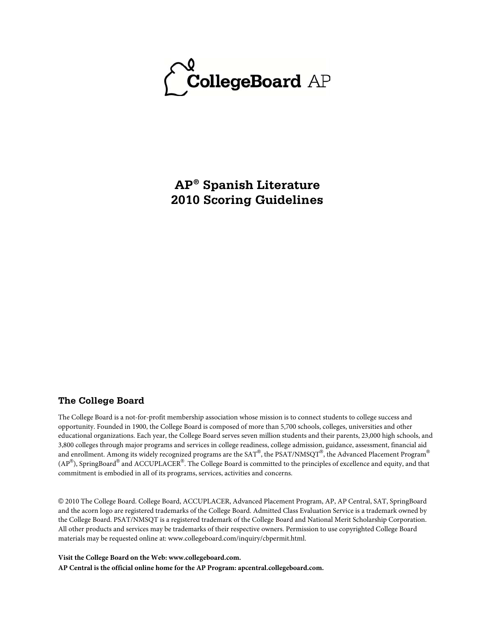

**AP® Spanish Literature 2010 Scoring Guidelines**

### **The College Board**

The College Board is a not-for-profit membership association whose mission is to connect students to college success and opportunity. Founded in 1900, the College Board is composed of more than 5,700 schools, colleges, universities and other educational organizations. Each year, the College Board serves seven million students and their parents, 23,000 high schools, and 3,800 colleges through major programs and services in college readiness, college admission, guidance, assessment, financial aid and enrollment. Among its widely recognized programs are the SAT®, the PSAT/NMSQT®, the Advanced Placement Program® (AP $^{\circledR}$ ), SpringBoard $^{\circledR}$  and ACCUPLACER $^{\circledR}$ . The College Board is committed to the principles of excellence and equity, and that commitment is embodied in all of its programs, services, activities and concerns.

© 2010 The College Board. College Board, ACCUPLACER, Advanced Placement Program, AP, AP Central, SAT, SpringBoard and the acorn logo are registered trademarks of the College Board. Admitted Class Evaluation Service is a trademark owned by the College Board. PSAT/NMSQT is a registered trademark of the College Board and National Merit Scholarship Corporation. All other products and services may be trademarks of their respective owners. Permission to use copyrighted College Board materials may be requested online at: www.collegeboard.com/inquiry/cbpermit.html.

**Visit the College Board on the Web: www.collegeboard.com. AP Central is the official online home for the AP Program: apcentral.collegeboard.com.**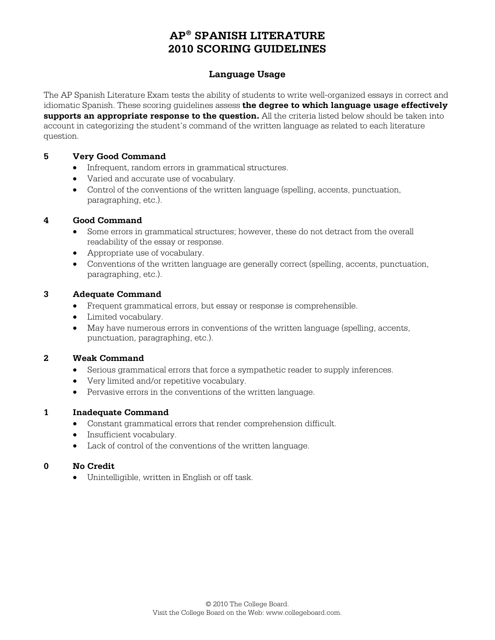## **Language Usage**

The AP Spanish Literature Exam tests the ability of students to write well-organized essays in correct and idiomatic Spanish. These scoring guidelines assess **the degree to which language usage effectively supports an appropriate response to the question.** All the criteria listed below should be taken into account in categorizing the student's command of the written language as related to each literature question.

### **5 Very Good Command**

- Infrequent, random errors in grammatical structures.
- Varied and accurate use of vocabulary.
- Control of the conventions of the written language (spelling, accents, punctuation, paragraphing, etc.).

### **4 Good Command**

- Some errors in grammatical structures; however, these do not detract from the overall readability of the essay or response.
- Appropriate use of vocabulary.
- Conventions of the written language are generally correct (spelling, accents, punctuation, paragraphing, etc.).

### **3 Adequate Command**

- Frequent grammatical errors, but essay or response is comprehensible.
- Limited vocabulary.
- May have numerous errors in conventions of the written language (spelling, accents, punctuation, paragraphing, etc.).

### **2 Weak Command**

- Serious grammatical errors that force a sympathetic reader to supply inferences.
- Very limited and/or repetitive vocabulary.
- Pervasive errors in the conventions of the written language.

### **1 Inadequate Command**

- Constant grammatical errors that render comprehension difficult.
- Insufficient vocabulary.
- Lack of control of the conventions of the written language.

### **0 No Credit**

• Unintelligible, written in English or off task.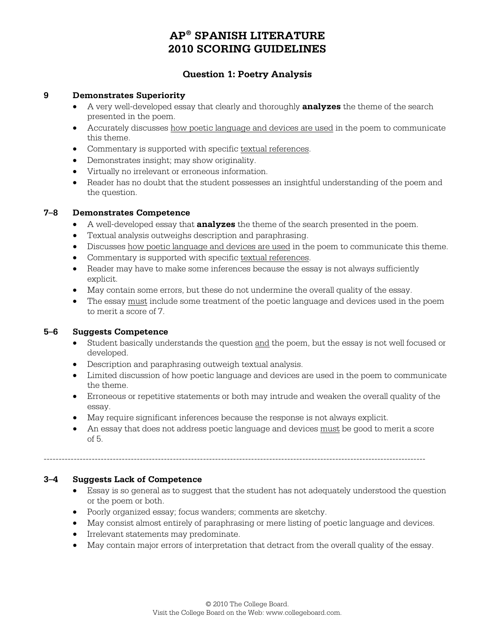# **Question 1: Poetry Analysis**

### **9 Demonstrates Superiority**

- A very well-developed essay that clearly and thoroughly **analyzes** the theme of the search presented in the poem.
- Accurately discusses how poetic language and devices are used in the poem to communicate this theme.
- Commentary is supported with specific textual references.
- Demonstrates insight; may show originality.
- Virtually no irrelevant or erroneous information.
- Reader has no doubt that the student possesses an insightful understanding of the poem and the question.

### **7–8 Demonstrates Competence**

- A well-developed essay that **analyzes** the theme of the search presented in the poem.
- Textual analysis outweighs description and paraphrasing.
- Discusses how poetic language and devices are used in the poem to communicate this theme.
- Commentary is supported with specific textual references.
- Reader may have to make some inferences because the essay is not always sufficiently explicit.
- May contain some errors, but these do not undermine the overall quality of the essay.
- The essay must include some treatment of the poetic language and devices used in the poem to merit a score of 7.

## **5–6 Suggests Competence**

- Student basically understands the question and the poem, but the essay is not well focused or developed.
- Description and paraphrasing outweigh textual analysis.
- Limited discussion of how poetic language and devices are used in the poem to communicate the theme.
- Erroneous or repetitive statements or both may intrude and weaken the overall quality of the essay.
- May require significant inferences because the response is not always explicit.

-------------------------------------------------------------------------------------------------------------------------------

• An essay that does not address poetic language and devices must be good to merit a score of 5.

### **3–4 Suggests Lack of Competence**

- Essay is so general as to suggest that the student has not adequately understood the question or the poem or both.
- Poorly organized essay; focus wanders; comments are sketchy.
- May consist almost entirely of paraphrasing or mere listing of poetic language and devices.
- Irrelevant statements may predominate.
- May contain major errors of interpretation that detract from the overall quality of the essay.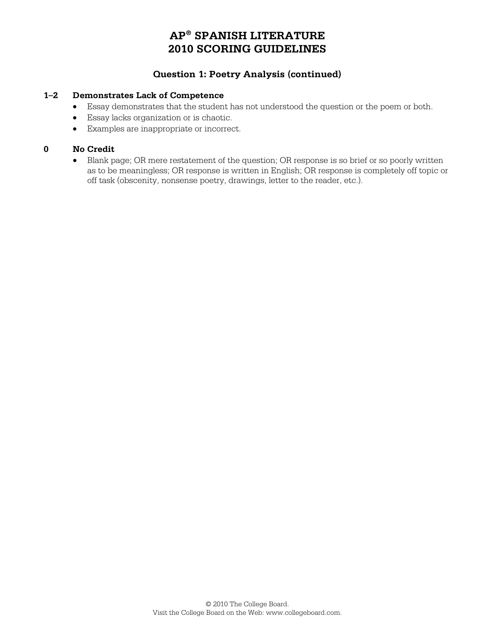# **Question 1: Poetry Analysis (continued)**

### **1–2 Demonstrates Lack of Competence**

- Essay demonstrates that the student has not understood the question or the poem or both.
- Essay lacks organization or is chaotic.
- Examples are inappropriate or incorrect.

## **0 No Credit**

• Blank page; OR mere restatement of the question; OR response is so brief or so poorly written as to be meaningless; OR response is written in English; OR response is completely off topic or off task (obscenity, nonsense poetry, drawings, letter to the reader, etc.).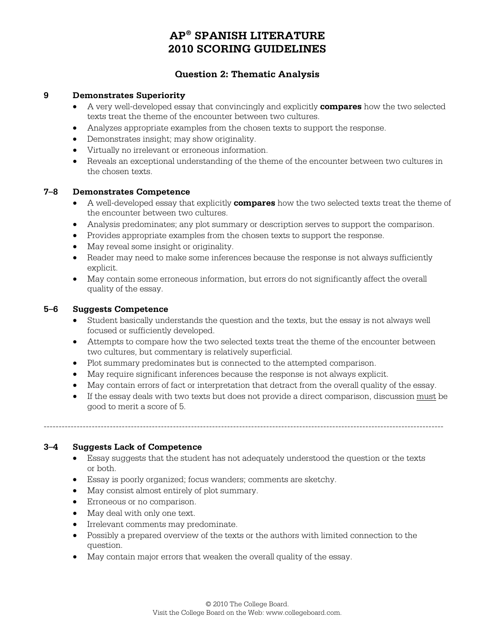## **Question 2: Thematic Analysis**

### **9 Demonstrates Superiority**

- A very well-developed essay that convincingly and explicitly **compares** how the two selected texts treat the theme of the encounter between two cultures.
- Analyzes appropriate examples from the chosen texts to support the response.
- Demonstrates insight; may show originality.
- Virtually no irrelevant or erroneous information.
- Reveals an exceptional understanding of the theme of the encounter between two cultures in the chosen texts.

### **7–8 Demonstrates Competence**

- A well-developed essay that explicitly **compares** how the two selected texts treat the theme of the encounter between two cultures.
- Analysis predominates; any plot summary or description serves to support the comparison.
- Provides appropriate examples from the chosen texts to support the response.
- May reveal some insight or originality.
- Reader may need to make some inferences because the response is not always sufficiently explicit.
- May contain some erroneous information, but errors do not significantly affect the overall quality of the essay.

#### **5–6 Suggests Competence**

- Student basically understands the question and the texts, but the essay is not always well focused or sufficiently developed.
- Attempts to compare how the two selected texts treat the theme of the encounter between two cultures, but commentary is relatively superficial.
- Plot summary predominates but is connected to the attempted comparison.
- May require significant inferences because the response is not always explicit.
- May contain errors of fact or interpretation that detract from the overall quality of the essay.
- If the essay deals with two texts but does not provide a direct comparison, discussion must be good to merit a score of 5.

#### **3–4 Suggests Lack of Competence**

• Essay suggests that the student has not adequately understood the question or the texts or both.

-------------------------------------------------------------------------------------------------------------------------------------

- Essay is poorly organized; focus wanders; comments are sketchy.
- May consist almost entirely of plot summary.
- Erroneous or no comparison.
- May deal with only one text.
- Irrelevant comments may predominate.
- Possibly a prepared overview of the texts or the authors with limited connection to the question.
- May contain major errors that weaken the overall quality of the essay.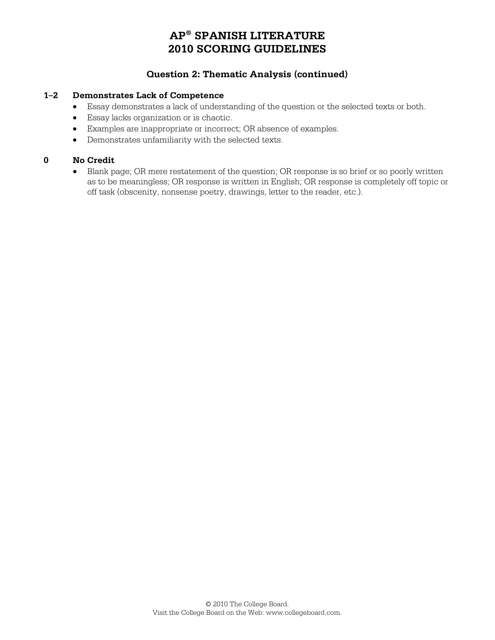# **Question 2: Thematic Analysis (continued)**

### **1–2 Demonstrates Lack of Competence**

- Essay demonstrates a lack of understanding of the question or the selected texts or both.
- Essay lacks organization or is chaotic.
- Examples are inappropriate or incorrect; OR absence of examples.
- Demonstrates unfamiliarity with the selected texts.

### **0 No Credit**

• Blank page; OR mere restatement of the question; OR response is so brief or so poorly written as to be meaningless; OR response is written in English; OR response is completely off topic or off task (obscenity, nonsense poetry, drawings, letter to the reader, etc.).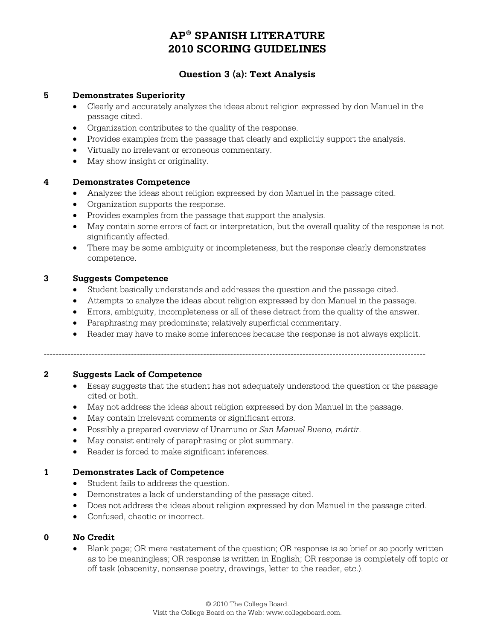## **Question 3 (a): Text Analysis**

### **5 Demonstrates Superiority**

- Clearly and accurately analyzes the ideas about religion expressed by don Manuel in the passage cited.
- Organization contributes to the quality of the response.
- Provides examples from the passage that clearly and explicitly support the analysis.
- Virtually no irrelevant or erroneous commentary.
- May show insight or originality.

### **4 Demonstrates Competence**

- Analyzes the ideas about religion expressed by don Manuel in the passage cited.
- Organization supports the response.
- Provides examples from the passage that support the analysis.
- May contain some errors of fact or interpretation, but the overall quality of the response is not significantly affected.
- There may be some ambiguity or incompleteness, but the response clearly demonstrates competence.

#### **3 Suggests Competence**

- Student basically understands and addresses the question and the passage cited.
- Attempts to analyze the ideas about religion expressed by don Manuel in the passage.
- Errors, ambiguity, incompleteness or all of these detract from the quality of the answer.
- Paraphrasing may predominate; relatively superficial commentary.
- Reader may have to make some inferences because the response is not always explicit.

-------------------------------------------------------------------------------------------------------------------------------

### **2 Suggests Lack of Competence**

- Essay suggests that the student has not adequately understood the question or the passage cited or both.
- May not address the ideas about religion expressed by don Manuel in the passage.
- May contain irrelevant comments or significant errors.
- Possibly a prepared overview of Unamuno or *San Manuel Bueno, mártir*.
- May consist entirely of paraphrasing or plot summary.
- Reader is forced to make significant inferences.

### **1 Demonstrates Lack of Competence**

- Student fails to address the question.
- Demonstrates a lack of understanding of the passage cited.
- Does not address the ideas about religion expressed by don Manuel in the passage cited.
- Confused, chaotic or incorrect.

### **0 No Credit**

• Blank page; OR mere restatement of the question; OR response is so brief or so poorly written as to be meaningless; OR response is written in English; OR response is completely off topic or off task (obscenity, nonsense poetry, drawings, letter to the reader, etc.).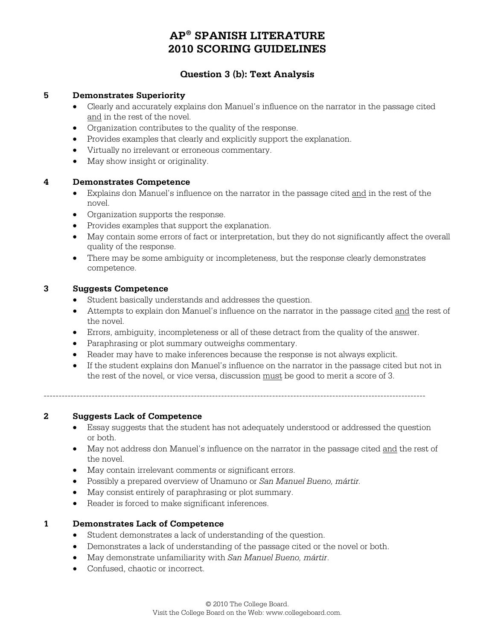## **Question 3 (b): Text Analysis**

### **5 Demonstrates Superiority**

- Clearly and accurately explains don Manuel's influence on the narrator in the passage cited and in the rest of the novel.
- Organization contributes to the quality of the response.
- Provides examples that clearly and explicitly support the explanation.
- Virtually no irrelevant or erroneous commentary.
- May show insight or originality.

#### **4 Demonstrates Competence**

- Explains don Manuel's influence on the narrator in the passage cited and in the rest of the novel.
- Organization supports the response.
- Provides examples that support the explanation.
- May contain some errors of fact or interpretation, but they do not significantly affect the overall quality of the response.
- There may be some ambiguity or incompleteness, but the response clearly demonstrates competence.

#### **3 Suggests Competence**

- Student basically understands and addresses the question.
- Attempts to explain don Manuel's influence on the narrator in the passage cited and the rest of the novel.
- Errors, ambiguity, incompleteness or all of these detract from the quality of the answer.
- Paraphrasing or plot summary outweighs commentary.
- Reader may have to make inferences because the response is not always explicit.
- If the student explains don Manuel's influence on the narrator in the passage cited but not in the rest of the novel, or vice versa, discussion must be good to merit a score of 3.

-------------------------------------------------------------------------------------------------------------------------------

### **2 Suggests Lack of Competence**

- Essay suggests that the student has not adequately understood or addressed the question or both.
- May not address don Manuel's influence on the narrator in the passage cited and the rest of the novel.
- May contain irrelevant comments or significant errors.
- Possibly a prepared overview of Unamuno or *San Manuel Bueno, mártir.*
- May consist entirely of paraphrasing or plot summary.
- Reader is forced to make significant inferences.

### **1 Demonstrates Lack of Competence**

- Student demonstrates a lack of understanding of the question.
- Demonstrates a lack of understanding of the passage cited or the novel or both.
- May demonstrate unfamiliarity with *San Manuel Bueno, mártir*.
- Confused, chaotic or incorrect.